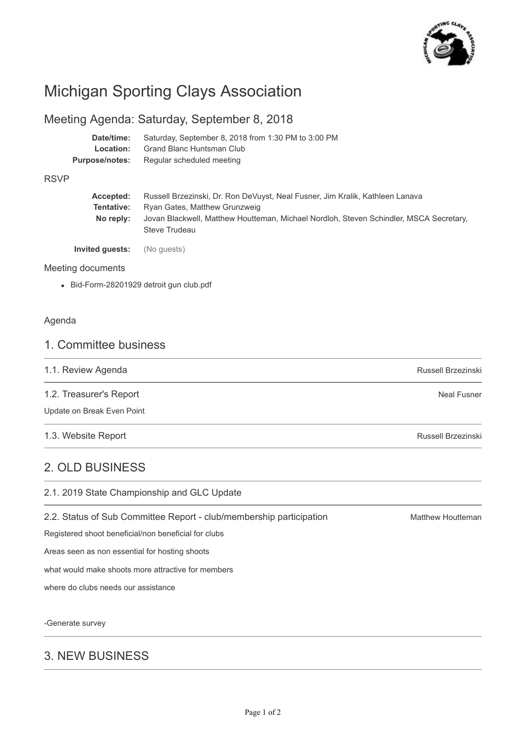

# Michigan Sporting Clays Association

## Meeting Agenda: Saturday, September 8, 2018

| Date/time:     | Saturday, September 8, 2018 from 1:30 PM to 3:00 PM |  |
|----------------|-----------------------------------------------------|--|
| Location:      | Grand Blanc Huntsman Club                           |  |
| Purpose/notes: | Regular scheduled meeting                           |  |

#### RSVP

| Accepted:<br>Tentative:<br>No reply: | Russell Brzezinski, Dr. Ron DeVuyst, Neal Fusner, Jim Kralik, Kathleen Lanava<br>Ryan Gates, Matthew Grunzweig<br>Jovan Blackwell, Matthew Houtteman, Michael Nordloh, Steven Schindler, MSCA Secretary,<br>Steve Trudeau |
|--------------------------------------|---------------------------------------------------------------------------------------------------------------------------------------------------------------------------------------------------------------------------|
| Invited quests:                      | (No quests)                                                                                                                                                                                                               |

#### Meeting documents

Bid-Form-28201929 detroit gun club.pdf

#### Agenda

### 1. Committee business

| 1.1. Review Agenda | Russell Brzezinski |
|--------------------|--------------------|
|                    |                    |

1.2. Treasurer's Report

Update on Break Even Point

1.3. Website Report

## 2. OLD BUSINESS

2.1. 2019 State Championship and GLC Update

2.2. Status of Sub Committee Report - club/membership participation

Registered shoot beneficial/non beneficial for clubs

Areas seen as non essential for hosting shoots

what would make shoots more attractive for members

where do clubs needs our assistance

-Generate survey

## 3. NEW BUSINESS

Matthew Houtteman

Russell Brzezinski

Neal Fusner